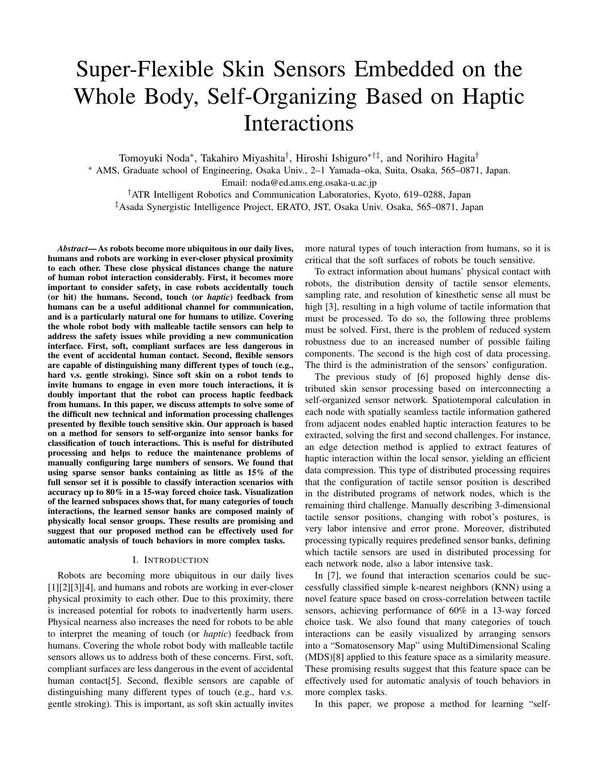# Super-Flexible Skin Sensors Embedded on the Whole Body, Self-Organizing Based on Haptic Interactions

Tomoyuki Noda*<sup>∗</sup>* , Takahiro Miyashita*†* , Hiroshi Ishiguro*∗†‡*, and Norihiro Hagita*† <sup>∗</sup>* AMS, Graduate school of Engineering, Osaka Univ., 2–1 Yamada–oka, Suita, Osaka, 565–0871, Japan. Email: noda@ed.ams.eng.osaka-u.ac.jp *†*ATR Intelligent Robotics and Communication Laboratories, Kyoto, 619–0288, Japan *‡*Asada Synergistic Intelligence Project, ERATO, JST, Osaka Univ. Osaka, 565–0871, Japan

*Abstract*— As robots become more ubiquitous in our daily lives, humans and robots are working in ever-closer physical proximity to each other. These close physical distances change the nature of human robot interaction considerably. First, it becomes more important to consider safety, in case robots accidentally touch (or hit) the humans. Second, touch (or *haptic*) feedback from humans can be a useful additional channel for communication, and is a particularly natural one for humans to utilize. Covering the whole robot body with malleable tactile sensors can help to address the safety issues while providing a new communication interface. First, soft, compliant surfaces are less dangerous in the event of accidental human contact. Second, flexible sensors are capable of distinguishing many different types of touch (e.g., hard v.s. gentle stroking). Since soft skin on a robot tends to invite humans to engage in even more touch interactions, it is doubly important that the robot can process haptic feedback from humans. In this paper, we discuss attempts to solve some of the difficult new technical and information processing challenges presented by flexible touch sensitive skin. Our approach is based on a method for sensors to self-organize into sensor banks for classification of touch interactions. This is useful for distributed processing and helps to reduce the maintenance problems of manually configuring large numbers of sensors. We found that using sparse sensor banks containing as little as 15% of the full sensor set it is possible to classify interaction scenarios with accuracy up to 80% in a 15-way forced choice task. Visualization of the learned subspaces shows that, for many categories of touch interactions, the learned sensor banks are composed mainly of physically local sensor groups. These results are promising and suggest that our proposed method can be effectively used for automatic analysis of touch behaviors in more complex tasks.

## I. INTRODUCTION

Robots are becoming more ubiquitous in our daily lives [1][2][3][4], and humans and robots are working in ever-closer physical proximity to each other. Due to this proximity, there is increased potential for robots to inadvertently harm users. Physical nearness also increases the need for robots to be able to interpret the meaning of touch (or *haptic*) feedback from humans. Covering the whole robot body with malleable tactile sensors allows us to address both of these concerns. First, soft, compliant surfaces are less dangerous in the event of accidental human contact[5]. Second, flexible sensors are capable of distinguishing many different types of touch (e.g., hard v.s. gentle stroking). This is important, as soft skin actually invites more natural types of touch interaction from humans, so it is critical that the soft surfaces of robots be touch sensitive.

To extract information about humans' physical contact with robots, the distribution density of tactile sensor elements, sampling rate, and resolution of kinesthetic sense all must be high [3], resulting in a high volume of tactile information that must be processed. To do so, the following three problems must be solved. First, there is the problem of reduced system robustness due to an increased number of possible failing components. The second is the high cost of data processing. The third is the administration of the sensors' configuration.

The previous study of [6] proposed highly dense distributed skin sensor processing based on interconnecting a self-organized sensor network. Spatiotemporal calculation in each node with spatially seamless tactile information gathered from adjacent nodes enabled haptic interaction features to be extracted, solving the first and second challenges. For instance, an edge detection method is applied to extract features of haptic interaction within the local sensor, yielding an efficient data compression. This type of distributed processing requires that the configuration of tactile sensor position is described in the distributed programs of network nodes, which is the remaining third challenge. Manually describing 3-dimensional tactile sensor positions, changing with robot's postures, is very labor intensive and error prone. Moreover, distributed processing typically requires predefined sensor banks, defining which tactile sensors are used in distributed processing for each network node, also a labor intensive task.

In [7], we found that interaction scenarios could be successfully classified simple k-nearest neighbors (KNN) using a novel feature space based on cross-correlation between tactile sensors, achieving performance of 60% in a 13-way forced choice task. We also found that many categories of touch interactions can be easily visualized by arranging sensors into a "Somatosensory Map" using MultiDimensional Scaling (MDS)[8] applied to this feature space as a similarity measure. These promising results suggest that this feature space can be effectively used for automatic analysis of touch behaviors in more complex tasks.

In this paper, we propose a method for learning "self-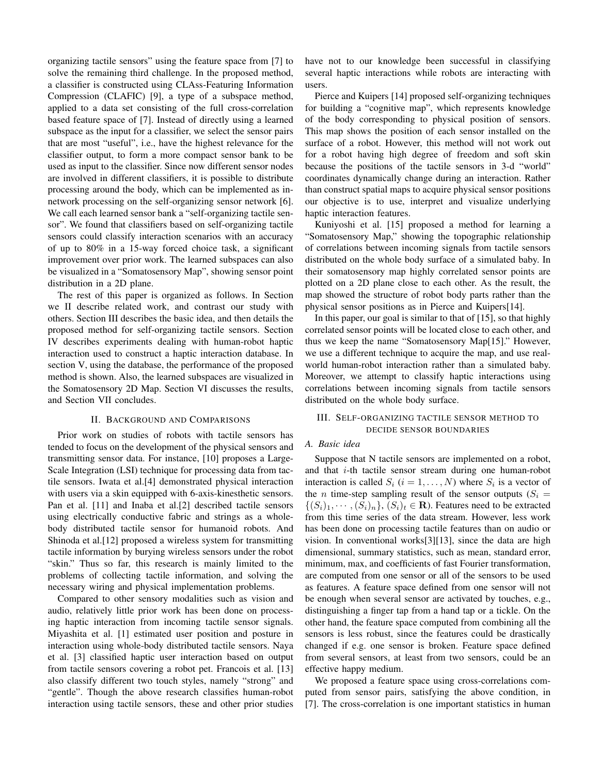organizing tactile sensors" using the feature space from [7] to solve the remaining third challenge. In the proposed method, a classifier is constructed using CLAss-Featuring Information Compression (CLAFIC) [9], a type of a subspace method, applied to a data set consisting of the full cross-correlation based feature space of [7]. Instead of directly using a learned subspace as the input for a classifier, we select the sensor pairs that are most "useful", i.e., have the highest relevance for the classifier output, to form a more compact sensor bank to be used as input to the classifier. Since now different sensor nodes are involved in different classifiers, it is possible to distribute processing around the body, which can be implemented as innetwork processing on the self-organizing sensor network [6]. We call each learned sensor bank a "self-organizing tactile sensor". We found that classifiers based on self-organizing tactile sensors could classify interaction scenarios with an accuracy of up to 80% in a 15-way forced choice task, a significant improvement over prior work. The learned subspaces can also be visualized in a "Somatosensory Map", showing sensor point distribution in a 2D plane.

The rest of this paper is organized as follows. In Section we II describe related work, and contrast our study with others. Section III describes the basic idea, and then details the proposed method for self-organizing tactile sensors. Section IV describes experiments dealing with human-robot haptic interaction used to construct a haptic interaction database. In section V, using the database, the performance of the proposed method is shown. Also, the learned subspaces are visualized in the Somatosensory 2D Map. Section VI discusses the results, and Section VII concludes.

## II. BACKGROUND AND COMPARISONS

Prior work on studies of robots with tactile sensors has tended to focus on the development of the physical sensors and transmitting sensor data. For instance, [10] proposes a Large-Scale Integration (LSI) technique for processing data from tactile sensors. Iwata et al.[4] demonstrated physical interaction with users via a skin equipped with 6-axis-kinesthetic sensors. Pan et al. [11] and Inaba et al.[2] described tactile sensors using electrically conductive fabric and strings as a wholebody distributed tactile sensor for humanoid robots. And Shinoda et al.[12] proposed a wireless system for transmitting tactile information by burying wireless sensors under the robot "skin." Thus so far, this research is mainly limited to the problems of collecting tactile information, and solving the necessary wiring and physical implementation problems.

Compared to other sensory modalities such as vision and audio, relatively little prior work has been done on processing haptic interaction from incoming tactile sensor signals. Miyashita et al. [1] estimated user position and posture in interaction using whole-body distributed tactile sensors. Naya et al. [3] classified haptic user interaction based on output from tactile sensors covering a robot pet. Francois et al. [13] also classify different two touch styles, namely "strong" and "gentle". Though the above research classifies human-robot interaction using tactile sensors, these and other prior studies have not to our knowledge been successful in classifying several haptic interactions while robots are interacting with users.

Pierce and Kuipers [14] proposed self-organizing techniques for building a "cognitive map", which represents knowledge of the body corresponding to physical position of sensors. This map shows the position of each sensor installed on the surface of a robot. However, this method will not work out for a robot having high degree of freedom and soft skin because the positions of the tactile sensors in 3-d "world" coordinates dynamically change during an interaction. Rather than construct spatial maps to acquire physical sensor positions our objective is to use, interpret and visualize underlying haptic interaction features.

Kuniyoshi et al. [15] proposed a method for learning a "Somatosensory Map," showing the topographic relationship of correlations between incoming signals from tactile sensors distributed on the whole body surface of a simulated baby. In their somatosensory map highly correlated sensor points are plotted on a 2D plane close to each other. As the result, the map showed the structure of robot body parts rather than the physical sensor positions as in Pierce and Kuipers[14].

In this paper, our goal is similar to that of [15], so that highly correlated sensor points will be located close to each other, and thus we keep the name "Somatosensory Map[15]." However, we use a different technique to acquire the map, and use realworld human-robot interaction rather than a simulated baby. Moreover, we attempt to classify haptic interactions using correlations between incoming signals from tactile sensors distributed on the whole body surface.

## III. SELF-ORGANIZING TACTILE SENSOR METHOD TO DECIDE SENSOR BOUNDARIES

## *A. Basic idea*

Suppose that N tactile sensors are implemented on a robot, and that *i*-th tactile sensor stream during one human-robot interaction is called  $S_i$  ( $i = 1, ..., N$ ) where  $S_i$  is a vector of the *n* time-step sampling result of the sensor outputs  $(S_i =$  $\{(S_i)_1, \cdots, (S_i)_n\}, (S_i)_t \in \mathbb{R}$ ). Features need to be extracted from this time series of the data stream. However, less work has been done on processing tactile features than on audio or vision. In conventional works[3][13], since the data are high dimensional, summary statistics, such as mean, standard error, minimum, max, and coefficients of fast Fourier transformation, are computed from one sensor or all of the sensors to be used as features. A feature space defined from one sensor will not be enough when several sensor are activated by touches, e.g., distinguishing a finger tap from a hand tap or a tickle. On the other hand, the feature space computed from combining all the sensors is less robust, since the features could be drastically changed if e.g. one sensor is broken. Feature space defined from several sensors, at least from two sensors, could be an effective happy medium.

We proposed a feature space using cross-correlations computed from sensor pairs, satisfying the above condition, in [7]. The cross-correlation is one important statistics in human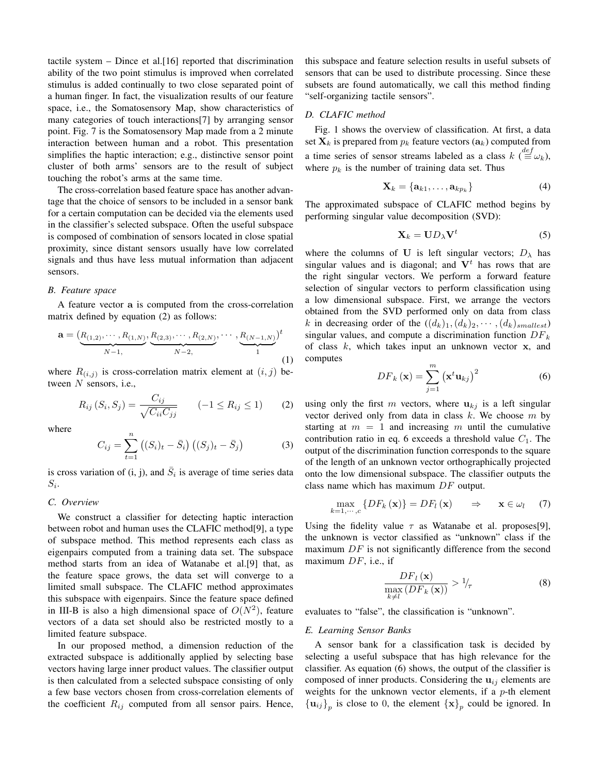tactile system – Dince et al.[16] reported that discrimination ability of the two point stimulus is improved when correlated stimulus is added continually to two close separated point of a human finger. In fact, the visualization results of our feature space, i.e., the Somatosensory Map, show characteristics of many categories of touch interactions[7] by arranging sensor point. Fig. 7 is the Somatosensory Map made from a 2 minute interaction between human and a robot. This presentation simplifies the haptic interaction; e.g., distinctive sensor point cluster of both arms' sensors are to the result of subject touching the robot's arms at the same time.

The cross-correlation based feature space has another advantage that the choice of sensors to be included in a sensor bank for a certain computation can be decided via the elements used in the classifier's selected subspace. Often the useful subspace is composed of combination of sensors located in close spatial proximity, since distant sensors usually have low correlated signals and thus have less mutual information than adjacent sensors.

#### *B. Feature space*

A feature vector **a** is computed from the cross-correlation matrix defined by equation (2) as follows:

$$
\mathbf{a} = (\underbrace{R_{(1,2)}, \cdots, R_{(1,N)}}_{N-1}, \underbrace{R_{(2,3)}, \cdots, R_{(2,N)}}_{N-2}, \cdots, \underbrace{R_{(N-1,N)}}_{1})^t
$$
\n(1)

where  $R_{(i,j)}$  is cross-correlation matrix element at  $(i,j)$  between *N* sensors, i.e.,

$$
R_{ij}(S_i, S_j) = \frac{C_{ij}}{\sqrt{C_{ii}C_{jj}}}
$$
  $(-1 \le R_{ij} \le 1)$  (2)

where

$$
C_{ij} = \sum_{t=1}^{n} ((S_i)_t - \bar{S}_i) ((S_j)_t - \bar{S}_j)
$$
 (3)

is cross variation of  $(i, j)$ , and  $\overline{S}_i$  is average of time series data  $S_i$ .

## *C. Overview*

We construct a classifier for detecting haptic interaction between robot and human uses the CLAFIC method[9], a type of subspace method. This method represents each class as eigenpairs computed from a training data set. The subspace method starts from an idea of Watanabe et al.[9] that, as the feature space grows, the data set will converge to a limited small subspace. The CLAFIC method approximates this subspace with eigenpairs. Since the feature space defined in III-B is also a high dimensional space of  $O(N^2)$ , feature vectors of a data set should also be restricted mostly to a limited feature subspace.

In our proposed method, a dimension reduction of the extracted subspace is additionally applied by selecting base vectors having large inner product values. The classifier output is then calculated from a selected subspace consisting of only a few base vectors chosen from cross-correlation elements of the coefficient  $R_{ij}$  computed from all sensor pairs. Hence, this subspace and feature selection results in useful subsets of sensors that can be used to distribute processing. Since these subsets are found automatically, we call this method finding "self-organizing tactile sensors".

## *D. CLAFIC method*

Fig. 1 shows the overview of classification. At first, a data set  $X_k$  is prepared from  $p_k$  feature vectors  $(a_k)$  computed from a time series of sensor streams labeled as a class  $k$  ( $\stackrel{def}{\equiv} \omega_k$ ), where  $p_k$  is the number of training data set. Thus

$$
\mathbf{X}_k = \{\mathbf{a}_{k1}, \dots, \mathbf{a}_{kp_k}\}\tag{4}
$$

The approximated subspace of CLAFIC method begins by performing singular value decomposition (SVD):

$$
\mathbf{X}_k = \mathbf{U} D_\lambda \mathbf{V}^t \tag{5}
$$

where the columns of **U** is left singular vectors;  $D_{\lambda}$  has singular values and is diagonal; and  $V^t$  has rows that are the right singular vectors. We perform a forward feature selection of singular vectors to perform classification using a low dimensional subspace. First, we arrange the vectors obtained from the SVD performed only on data from class *k* in decreasing order of the  $((d_k)_1, (d_k)_2, \cdots, (d_k)_{smallest})$ singular values, and compute a discrimination function *DF<sup>k</sup>* of class *k*, which takes input an unknown vector **x**, and computes

$$
DF_k(\mathbf{x}) = \sum_{j=1}^{m} (\mathbf{x}^t \mathbf{u}_{kj})^2
$$
 (6)

using only the first *m* vectors, where  $\mathbf{u}_{ki}$  is a left singular vector derived only from data in class *k*. We choose *m* by starting at  $m = 1$  and increasing m until the cumulative contribution ratio in eq. 6 exceeds a threshold value  $C_1$ . The output of the discrimination function corresponds to the square of the length of an unknown vector orthographically projected onto the low dimensional subspace. The classifier outputs the class name which has maximum *DF* output.

$$
\max_{k=1,\cdots,c} \left\{ DF_k\left( \mathbf{x} \right) \right\} = DF_l\left( \mathbf{x} \right) \Rightarrow \mathbf{x} \in \omega_l \quad (7)
$$

Using the fidelity value  $\tau$  as Watanabe et al. proposes[9], the unknown is vector classified as "unknown" class if the maximum *DF* is not significantly difference from the second maximum *DF*, i.e., if

$$
\frac{DF_l(\mathbf{x})}{\max_{k \neq l} \left( DF_k(\mathbf{x}) \right)} > 1/7
$$
\n(8)

evaluates to "false", the classification is "unknown".

#### *E. Learning Sensor Banks*

A sensor bank for a classification task is decided by selecting a useful subspace that has high relevance for the classifier. As equation (6) shows, the output of the classifier is composed of inner products. Considering the  $\mathbf{u}_{ij}$  elements are weights for the unknown vector elements, if a *p*-th element  ${ \{u_{ij}\}}_p$  is close to 0, the element  ${ \{x\}}_p$  could be ignored. In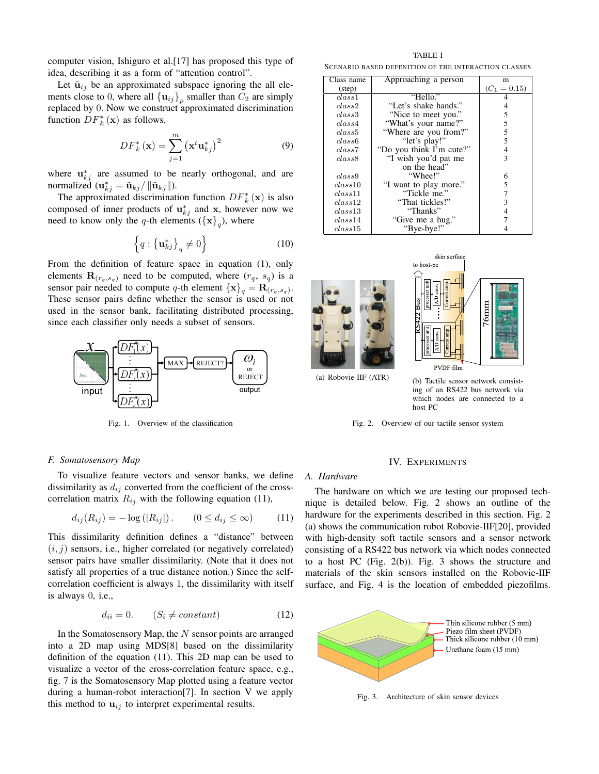computer vision, Ishiguro et al.[17] has proposed this type of idea, describing it as a form of "attention control".

Let  $\tilde{\mathbf{u}}_{ij}$  be an approximated subspace ignoring the all elements close to 0, where all  ${\{\mathbf{u}_{ij}\}}_p$  smaller than  $C_2$  are simply replaced by 0. Now we construct approximated discrimination function  $DF_k^*$  (**x**) as follows.

$$
DF_k^{\ast}(\mathbf{x}) = \sum_{j=1}^{m} (\mathbf{x}^t \mathbf{u}_{kj}^{\ast})^2
$$
 (9)

where  $\mathbf{u}_{kj}^*$  are assumed to be nearly orthogonal, and are  $\text{normalized } (\mathbf{u}_{kj}^* = \tilde{\mathbf{u}}_{kj}/\left\|\tilde{\mathbf{u}}_{kj}\right\|).$ 

The approximated discrimination function  $DF_k^*$  (**x**) is also composed of inner products of  $\mathbf{u}_{kj}^*$  and **x**, however now we need to know only the *q*-th elements ( $\{x\}_q$ ), where

$$
\left\{ q: \left\{ \mathbf{u}_{kj}^* \right\}_q \neq 0 \right\} \tag{10}
$$

From the definition of feature space in equation (1), only elements  $\mathbf{R}_{(r_q, s_q)}$  need to be computed, where  $(r_q, s_q)$  is a sensor pair needed to compute *q*-th element  $\{x\}_q = \mathbf{R}_{(r_q, s_q)}$ . These sensor pairs define whether the sensor is used or not used in the sensor bank, facilitating distributed processing, since each classifier only needs a subset of sensors.



Fig. 1. Overview of the classification

#### *F. Somatosensory Map*

To visualize feature vectors and sensor banks, we define dissimilarity as  $d_{ij}$  converted from the coefficient of the crosscorrelation matrix  $R_{ij}$  with the following equation (11),

$$
d_{ij}(R_{ij}) = -\log(|R_{ij}|). \qquad (0 \le d_{ij} \le \infty) \tag{11}
$$

This dissimilarity definition defines a "distance" between  $(i, j)$  sensors, i.e., higher correlated (or negatively correlated) sensor pairs have smaller dissimilarity. (Note that it does not satisfy all properties of a true distance notion.) Since the selfcorrelation coefficient is always 1, the dissimilarity with itself is always 0, i.e.,

$$
d_{ii} = 0. \t(S_i \neq constant) \t(12)
$$

In the Somatosensory Map, the *N* sensor points are arranged into a 2D map using MDS[8] based on the dissimilarity definition of the equation (11). This 2D map can be used to visualize a vector of the cross-correlation feature space, e.g., fig. 7 is the Somatosensory Map plotted using a feature vector during a human-robot interaction[7]. In section V we apply this method to  $\mathbf{u}_{ij}$  to interpret experimental results.

TABLE I

|  | SCENARIO BASED DEFENITION OF THE INTERACTION CLASSES |  |  |  |
|--|------------------------------------------------------|--|--|--|
|  |                                                      |  |  |  |

| Class name      | Approaching a person     |                |
|-----------------|--------------------------|----------------|
| $(\text{step})$ |                          | $(C_1 = 0.15)$ |
| class1          | "Hello."                 | 4              |
| class2          | "Let's shake hands."     |                |
| class3          | "Nice to meet you."      | 5              |
| class 4         | "What's your name?"      | 5              |
| class 5         | "Where are you from?"    | 5              |
| class 6         | "let's play!"            | 5              |
| class 7         | "Do you think I'm cute?" | 4              |
| class 8         | "I wish you'd pat me     | 3              |
|                 | on the head"             |                |
| class9          | "Whee!"                  | 6              |
| class10         | "I want to play more."   | 5              |
| class11         | "Tickle me."             | 7              |
| class12         | "That tickles!"          | 3              |
| class13         | "Thanks"                 | 4              |
| class14         | "Give me a hug."         |                |
| class15         | "Bye-bye!"               |                |





(a) Robovie-IIF (ATR) (b) Tactile sensor network consisting of an RS422 bus network via which nodes are connected to a host PC

Fig. 2. Overview of our tactile sensor system

#### IV. EXPERIMENTS

## *A. Hardware*

The hardware on which we are testing our proposed technique is detailed below. Fig. 2 shows an outline of the hardware for the experiments described in this section. Fig. 2 (a) shows the communication robot Robovie-IIF[20], provided with high-density soft tactile sensors and a sensor network consisting of a RS422 bus network via which nodes connected to a host PC (Fig. 2(b)). Fig. 3 shows the structure and materials of the skin sensors installed on the Robovie-IIF surface, and Fig. 4 is the location of embedded piezofilms.



Fig. 3. Architecture of skin sensor devices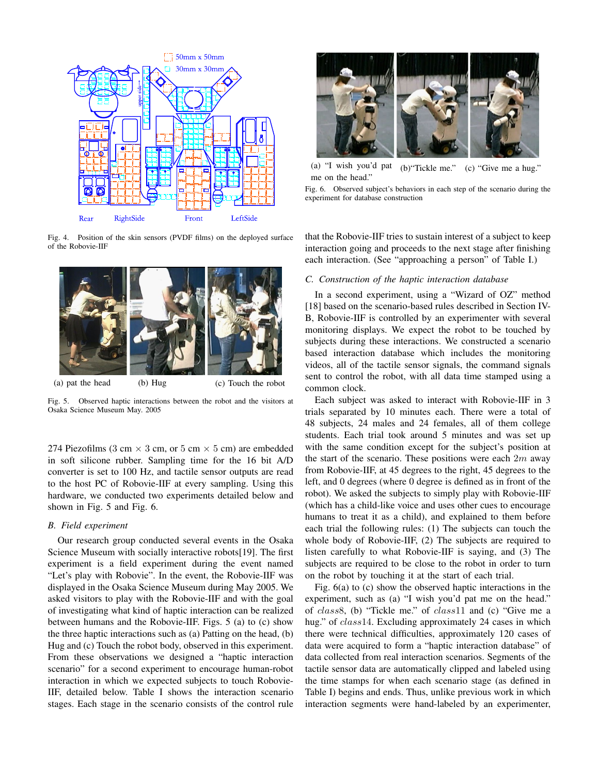

Fig. 4. Position of the skin sensors (PVDF films) on the deployed surface of the Robovie-IIF



Fig. 5. Observed haptic interactions between the robot and the visitors at Osaka Science Museum May. 2005

274 Piezofilms (3 cm  $\times$  3 cm, or 5 cm  $\times$  5 cm) are embedded in soft silicone rubber. Sampling time for the 16 bit A/D converter is set to 100 Hz, and tactile sensor outputs are read to the host PC of Robovie-IIF at every sampling. Using this hardware, we conducted two experiments detailed below and shown in Fig. 5 and Fig. 6.

## *B. Field experiment*

Our research group conducted several events in the Osaka Science Museum with socially interactive robots[19]. The first experiment is a field experiment during the event named "Let's play with Robovie". In the event, the Robovie-IIF was displayed in the Osaka Science Museum during May 2005. We asked visitors to play with the Robovie-IIF and with the goal of investigating what kind of haptic interaction can be realized between humans and the Robovie-IIF. Figs. 5 (a) to (c) show the three haptic interactions such as (a) Patting on the head, (b) Hug and (c) Touch the robot body, observed in this experiment. From these observations we designed a "haptic interaction scenario" for a second experiment to encourage human-robot interaction in which we expected subjects to touch Robovie-IIF, detailed below. Table I shows the interaction scenario stages. Each stage in the scenario consists of the control rule



(a) "I wish you'd pat me on the head." (b)"Tickle me." (c) "Give me a hug."

Fig. 6. Observed subject's behaviors in each step of the scenario during the experiment for database construction

that the Robovie-IIF tries to sustain interest of a subject to keep interaction going and proceeds to the next stage after finishing each interaction. (See "approaching a person" of Table I.)

## *C. Construction of the haptic interaction database*

In a second experiment, using a "Wizard of OZ" method [18] based on the scenario-based rules described in Section IV-B, Robovie-IIF is controlled by an experimenter with several monitoring displays. We expect the robot to be touched by subjects during these interactions. We constructed a scenario based interaction database which includes the monitoring videos, all of the tactile sensor signals, the command signals sent to control the robot, with all data time stamped using a common clock.

Each subject was asked to interact with Robovie-IIF in 3 trials separated by 10 minutes each. There were a total of 48 subjects, 24 males and 24 females, all of them college students. Each trial took around 5 minutes and was set up with the same condition except for the subject's position at the start of the scenario. These positions were each 2*m* away from Robovie-IIF, at 45 degrees to the right, 45 degrees to the left, and 0 degrees (where 0 degree is defined as in front of the robot). We asked the subjects to simply play with Robovie-IIF (which has a child-like voice and uses other cues to encourage humans to treat it as a child), and explained to them before each trial the following rules: (1) The subjects can touch the whole body of Robovie-IIF, (2) The subjects are required to listen carefully to what Robovie-IIF is saying, and (3) The subjects are required to be close to the robot in order to turn on the robot by touching it at the start of each trial.

Fig. 6(a) to (c) show the observed haptic interactions in the experiment, such as (a) "I wish you'd pat me on the head." of *class*8, (b) "Tickle me." of *class*11 and (c) "Give me a hug." of *class*14. Excluding approximately 24 cases in which there were technical difficulties, approximately 120 cases of data were acquired to form a "haptic interaction database" of data collected from real interaction scenarios. Segments of the tactile sensor data are automatically clipped and labeled using the time stamps for when each scenario stage (as defined in Table I) begins and ends. Thus, unlike previous work in which interaction segments were hand-labeled by an experimenter,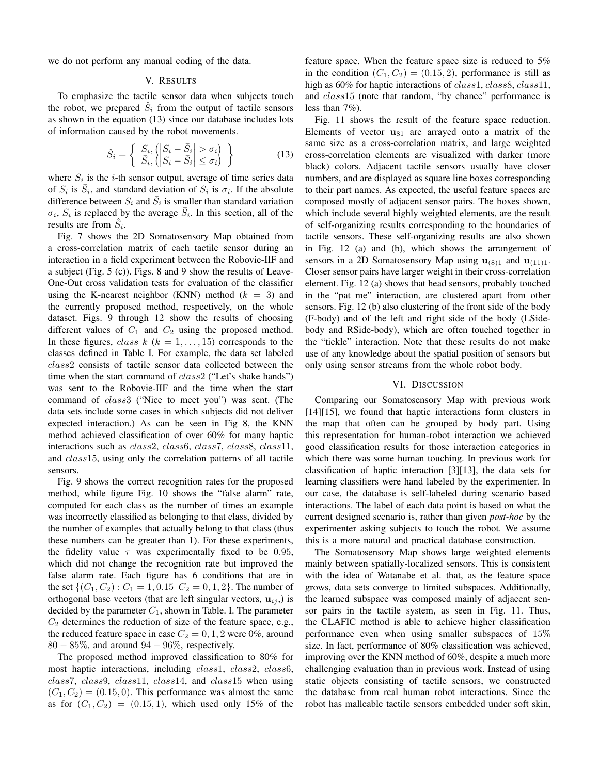we do not perform any manual coding of the data.

## V. RESULTS

To emphasize the tactile sensor data when subjects touch the robot, we prepared  $\hat{S}_i$  from the output of tactile sensors as shown in the equation (13) since our database includes lots of information caused by the robot movements.

$$
\hat{S}_i = \left\{ \begin{array}{l} S_i, \left( \left| S_i - \bar{S}_i \right| > \sigma_i \right) \\ \bar{S}_i, \left( \left| S_i - \bar{S}_i \right| \le \sigma_i \right) \end{array} \right\} \tag{13}
$$

where  $S_i$  is the *i*-th sensor output, average of time series data of  $S_i$  is  $\overline{S}_i$ , and standard deviation of  $S_i$  is  $\sigma_i$ . If the absolute difference between  $S_i$  and  $\overline{S}_i$  is smaller than standard variation  $\sigma_i$ ,  $S_i$  is replaced by the average  $\overline{S}_i$ . In this section, all of the results are from  $\hat{S}_i$ .

Fig. 7 shows the 2D Somatosensory Map obtained from a cross-correlation matrix of each tactile sensor during an interaction in a field experiment between the Robovie-IIF and a subject (Fig. 5 (c)). Figs. 8 and 9 show the results of Leave-One-Out cross validation tests for evaluation of the classifier using the K-nearest neighbor (KNN) method  $(k = 3)$  and the currently proposed method, respectively, on the whole dataset. Figs. 9 through 12 show the results of choosing different values of  $C_1$  and  $C_2$  using the proposed method. In these figures, *class k* ( $k = 1, \ldots, 15$ ) corresponds to the classes defined in Table I. For example, the data set labeled *class*2 consists of tactile sensor data collected between the time when the start command of *class*2 ("Let's shake hands") was sent to the Robovie-IIF and the time when the start command of *class*3 ("Nice to meet you") was sent. (The data sets include some cases in which subjects did not deliver expected interaction.) As can be seen in Fig 8, the KNN method achieved classification of over 60% for many haptic interactions such as *class*2, *class*6, *class*7, *class*8, *class*11, and *class*15, using only the correlation patterns of all tactile sensors.

Fig. 9 shows the correct recognition rates for the proposed method, while figure Fig. 10 shows the "false alarm" rate, computed for each class as the number of times an example was incorrectly classified as belonging to that class, divided by the number of examples that actually belong to that class (thus these numbers can be greater than 1). For these experiments, the fidelity value  $\tau$  was experimentally fixed to be 0.95, which did not change the recognition rate but improved the false alarm rate. Each figure has 6 conditions that are in the set  $\{(C_1, C_2): C_1 = 1, 0.15 \, C_2 = 0, 1, 2\}$ . The number of orthogonal base vectors (that are left singular vectors,  $\mathbf{u}_{ij}$ ) is decided by the parameter  $C_1$ , shown in Table. I. The parameter  $C_2$  determines the reduction of size of the feature space, e.g., the reduced feature space in case  $C_2 = 0, 1, 2$  were 0%, around 80 *−* 85%, and around 94 *−* 96%, respectively.

The proposed method improved classification to 80% for most haptic interactions, including *class*1, *class*2, *class*6, *class*7, *class*9, *class*11, *class*14, and *class*15 when using  $(C_1, C_2) = (0.15, 0)$ . This performance was almost the same as for  $(C_1, C_2) = (0.15, 1)$ , which used only 15% of the

feature space. When the feature space size is reduced to 5% in the condition  $(C_1, C_2) = (0.15, 2)$ , performance is still as high as 60% for haptic interactions of *class*1, *class*8, *class*11, and *class*15 (note that random, "by chance" performance is less than 7%).

Fig. 11 shows the result of the feature space reduction. Elements of vector  $\mathbf{u}_{81}$  are arrayed onto a matrix of the same size as a cross-correlation matrix, and large weighted cross-correlation elements are visualized with darker (more black) colors. Adjacent tactile sensors usually have closer numbers, and are displayed as square line boxes corresponding to their part names. As expected, the useful feature spaces are composed mostly of adjacent sensor pairs. The boxes shown, which include several highly weighted elements, are the result of self-organizing results corresponding to the boundaries of tactile sensors. These self-organizing results are also shown in Fig. 12 (a) and (b), which shows the arrangement of sensors in a 2D Somatosensory Map using  $\mathbf{u}_{(8)1}$  and  $\mathbf{u}_{(11)1}$ . Closer sensor pairs have larger weight in their cross-correlation element. Fig. 12 (a) shows that head sensors, probably touched in the "pat me" interaction, are clustered apart from other sensors. Fig. 12 (b) also clustering of the front side of the body (F-body) and of the left and right side of the body (LSidebody and RSide-body), which are often touched together in the "tickle" interaction. Note that these results do not make use of any knowledge about the spatial position of sensors but only using sensor streams from the whole robot body.

## VI. DISCUSSION

Comparing our Somatosensory Map with previous work [14][15], we found that haptic interactions form clusters in the map that often can be grouped by body part. Using this representation for human-robot interaction we achieved good classification results for those interaction categories in which there was some human touching. In previous work for classification of haptic interaction [3][13], the data sets for learning classifiers were hand labeled by the experimenter. In our case, the database is self-labeled during scenario based interactions. The label of each data point is based on what the current designed scenario is, rather than given *post-hoc* by the experimenter asking subjects to touch the robot. We assume this is a more natural and practical database construction.

The Somatosensory Map shows large weighted elements mainly between spatially-localized sensors. This is consistent with the idea of Watanabe et al. that, as the feature space grows, data sets converge to limited subspaces. Additionally, the learned subspace was composed mainly of adjacent sensor pairs in the tactile system, as seen in Fig. 11. Thus, the CLAFIC method is able to achieve higher classification performance even when using smaller subspaces of 15% size. In fact, performance of 80% classification was achieved, improving over the KNN method of 60%, despite a much more challenging evaluation than in previous work. Instead of using static objects consisting of tactile sensors, we constructed the database from real human robot interactions. Since the robot has malleable tactile sensors embedded under soft skin,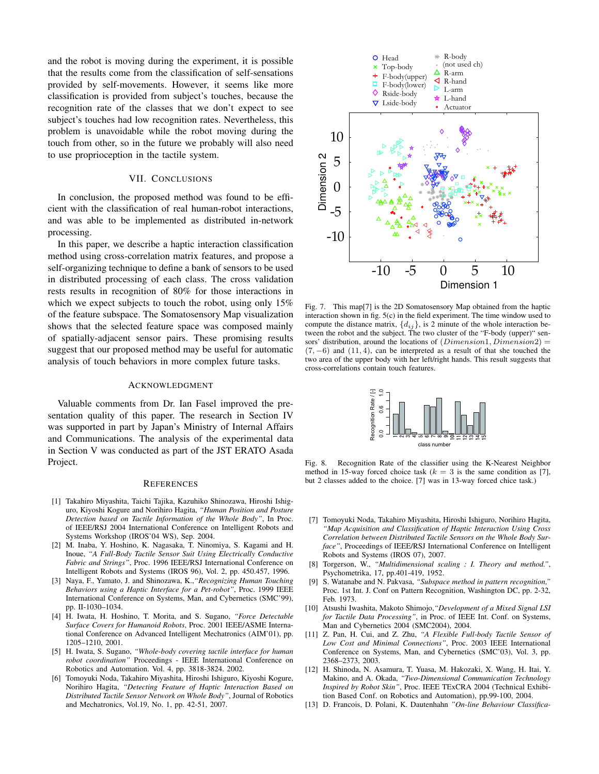and the robot is moving during the experiment, it is possible that the results come from the classification of self-sensations provided by self-movements. However, it seems like more classification is provided from subject's touches, because the recognition rate of the classes that we don't expect to see subject's touches had low recognition rates. Nevertheless, this problem is unavoidable while the robot moving during the touch from other, so in the future we probably will also need to use proprioception in the tactile system.

### VII. CONCLUSIONS

In conclusion, the proposed method was found to be efficient with the classification of real human-robot interactions, and was able to be implemented as distributed in-network processing.

In this paper, we describe a haptic interaction classification method using cross-correlation matrix features, and propose a self-organizing technique to define a bank of sensors to be used in distributed processing of each class. The cross validation rests results in recognition of 80% for those interactions in which we expect subjects to touch the robot, using only  $15\%$ of the feature subspace. The Somatosensory Map visualization shows that the selected feature space was composed mainly of spatially-adjacent sensor pairs. These promising results suggest that our proposed method may be useful for automatic analysis of touch behaviors in more complex future tasks.

### ACKNOWLEDGMENT

Valuable comments from Dr. Ian Fasel improved the presentation quality of this paper. The research in Section IV was supported in part by Japan's Ministry of Internal Affairs and Communications. The analysis of the experimental data in Section V was conducted as part of the JST ERATO Asada Project.

#### **REFERENCES**

- [1] Takahiro Miyashita, Taichi Tajika, Kazuhiko Shinozawa, Hiroshi Ishiguro, Kiyoshi Kogure and Norihiro Hagita, *"Human Position and Posture Detection based on Tactile Information of the Whole Body"*, In Proc. of IEEE/RSJ 2004 International Conference on Intelligent Robots and Systems Workshop (IROS'04 WS), Sep. 2004.
- [2] M. Inaba, Y. Hoshino, K. Nagasaka, T. Ninomiya, S. Kagami and H. Inoue, *"A Full-Body Tactile Sensor Suit Using Electrically Conductive Fabric and Strings"*, Proc. 1996 IEEE/RSJ International Conference on Intelligent Robots and Systems (IROS 96), Vol. 2, pp. 450.457, 1996.
- [3] Naya, F., Yamato, J. and Shinozawa, K.,*"Recognizing Human Touching Behaviors using a Haptic Interface for a Pet-robot"*, Proc. 1999 IEEE International Conference on Systems, Man, and Cybernetics (SMC'99), pp. II-1030–1034.
- [4] H. Iwata, H. Hoshino, T. Morita, and S. Sugano, *"Force Detectable Surface Covers for Humanoid Robots*, Proc. 2001 IEEE/ASME International Conference on Advanced Intelligent Mechatronics (AIM'01), pp. 1205–1210, 2001.
- [5] H. Iwata, S. Sugano, *"Whole-body covering tactile interface for human robot coordination"* Proceedings - IEEE International Conference on Robotics and Automation. Vol. 4, pp. 3818-3824. 2002.
- [6] Tomoyuki Noda, Takahiro Miyashita, Hiroshi Ishiguro, Kiyoshi Kogure, Norihiro Hagita, *"Detecting Feature of Haptic Interaction Based on Distributed Tactile Sensor Network on Whole Body"*, Journal of Robotics and Mechatronics, Vol.19, No. 1, pp. 42-51, 2007.



Fig. 7. This map[7] is the 2D Somatosensory Map obtained from the haptic interaction shown in fig. 5(c) in the field experiment. The time window used to compute the distance matrix,  $\{d_{ij}\}$ , is 2 minute of the whole interaction between the robot and the subject. The two cluster of the "F-body (upper)" sensors' distribution, around the locations of (*Dimension*1*, Dimension*2) = (7*, −*6) and (11*,* 4), can be interpreted as a result of that she touched the two area of the upper body with her left/right hands. This result suggests that cross-correlations contain touch features.



Fig. 8. Recognition Rate of the classifier using the K-Nearest Neighbor method in 15-way forced choice task  $(k = 3$  is the same condition as [7], but 2 classes added to the choice. [7] was in 13-way forced chice task.)

- [7] Tomoyuki Noda, Takahiro Miyashita, Hiroshi Ishiguro, Norihiro Hagita, *"Map Acquisition and Classification of Haptic Interaction Using Cross Correlation between Distributed Tactile Sensors on the Whole Body Surface"*, Proceedings of IEEE/RSJ International Conference on Intelligent Robots and Systems (IROS 07), 2007.
- [8] Torgerson, W., *"Multidimensional scaling : I. Theory and method."*, Psychometrika, 17, pp.401-419, 1952.
- [9] S. Watanabe and N. Pakvasa, *"Subspace method in pattern recognition,"* Proc. 1st Int. J. Conf on Pattern Recognition, Washington DC, pp. 2-32, Feb. 1973.
- [10] Atsushi Iwashita, Makoto Shimojo,*"Development of a Mixed Signal LSI for Tactile Data Processing"*, in Proc. of IEEE Int. Conf. on Systems, Man and Cybernetics 2004 (SMC2004), 2004.
- [11] Z. Pan, H. Cui, and Z. Zhu, *"A Flexible Full-body Tactile Sensor of Low Cost and Minimal Connections"*, Proc. 2003 IEEE International Conference on Systems, Man, and Cybernetics (SMC'03), Vol. 3, pp. 2368–2373, 2003.
- [12] H. Shinoda, N. Asamura, T. Yuasa, M. Hakozaki, X. Wang, H. Itai, Y. Makino, and A. Okada, *"Two-Dimensional Communication Technology Inspired by Robot Skin"*, Proc. IEEE TExCRA 2004 (Technical Exhibition Based Conf. on Robotics and Automation), pp.99-100, 2004.
- [13] D. Francois, D. Polani, K. Dautenhahn *"On-line Behaviour Classifica-*